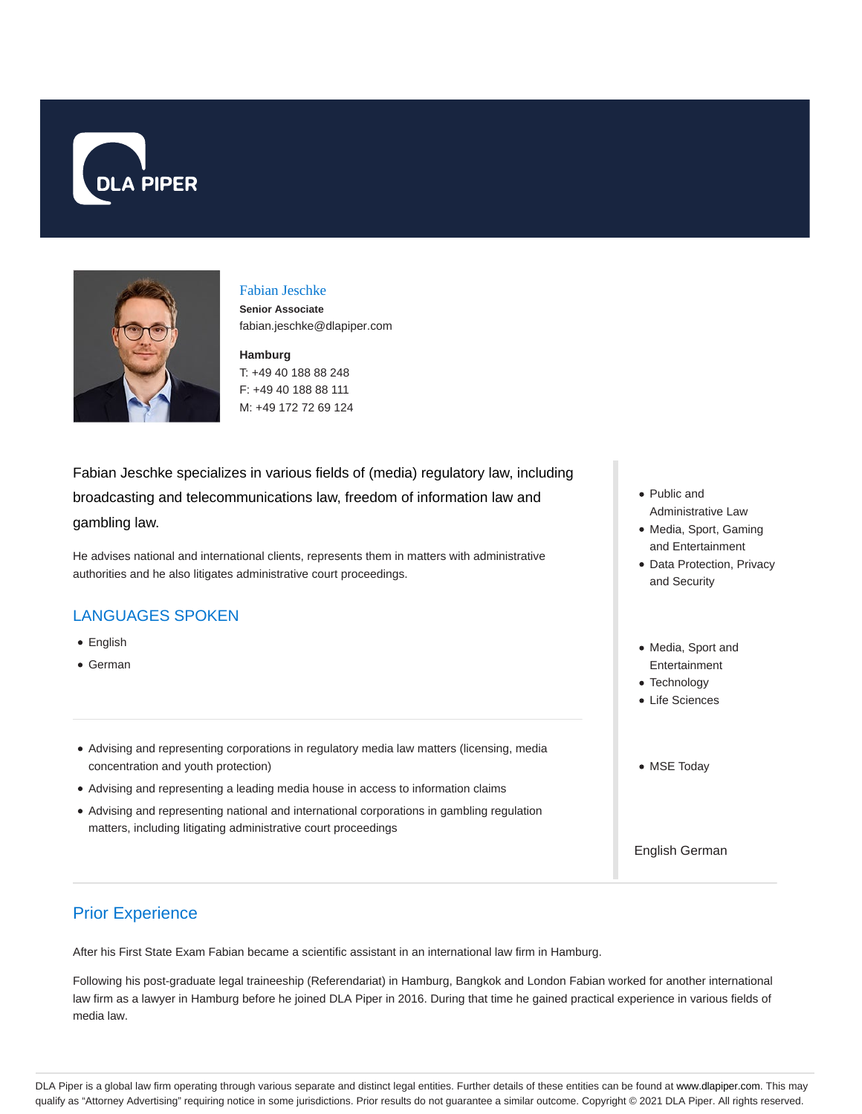



## Fabian Jeschke

**Senior Associate** fabian.jeschke@dlapiper.com

# **Hamburg**

T: +49 40 188 88 248 F: +49 40 188 88 111 M: +49 172 72 69 124

Fabian Jeschke specializes in various fields of (media) regulatory law, including broadcasting and telecommunications law, freedom of information law and gambling law.

He advises national and international clients, represents them in matters with administrative authorities and he also litigates administrative court proceedings.

### LANGUAGES SPOKEN

- English
- German
- Advising and representing corporations in regulatory media law matters (licensing, media concentration and youth protection)
- Advising and representing a leading media house in access to information claims
- Advising and representing national and international corporations in gambling regulation matters, including litigating administrative court proceedings
- Public and Administrative Law
- Media, Sport, Gaming and Entertainment
- Data Protection, Privacy and Security
- Media, Sport and Entertainment
- Technology
- Life Sciences
- MSE Today

English German

## Prior Experience

After his First State Exam Fabian became a scientific assistant in an international law firm in Hamburg.

Following his post-graduate legal traineeship (Referendariat) in Hamburg, Bangkok and London Fabian worked for another international law firm as a lawyer in Hamburg before he joined DLA Piper in 2016. During that time he gained practical experience in various fields of media law.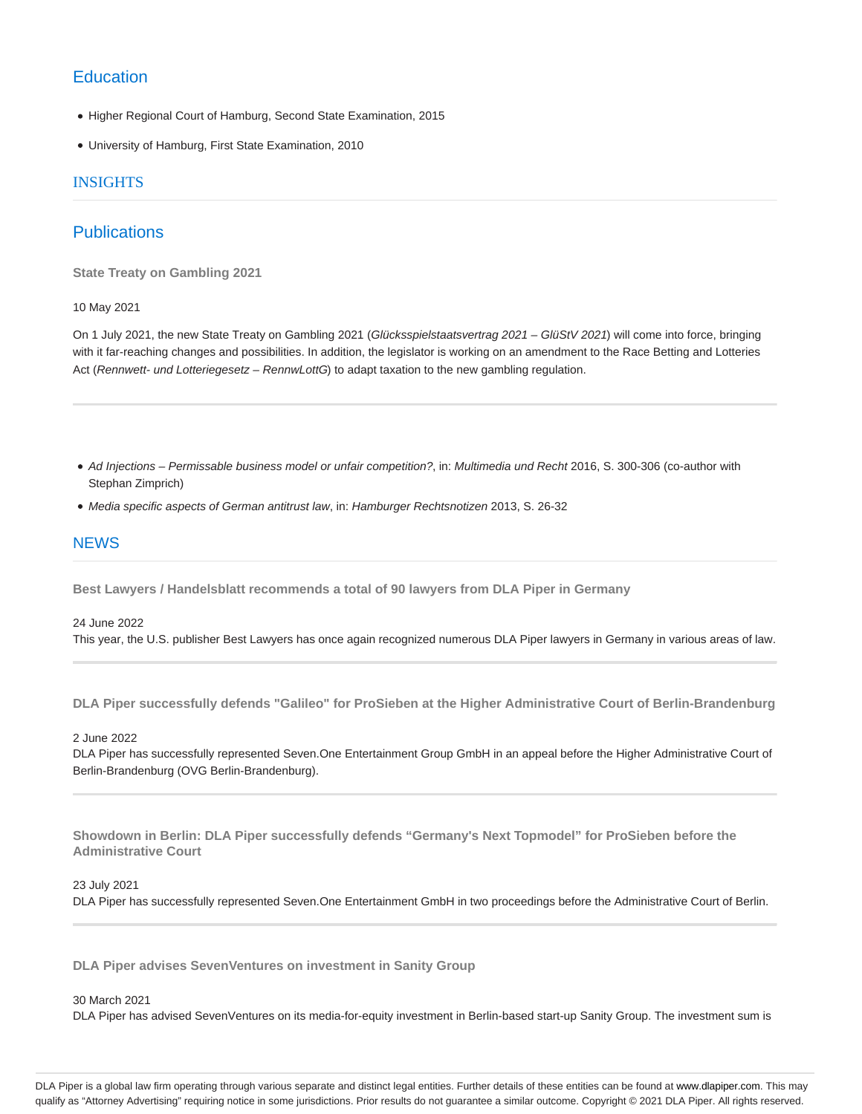### **Education**

- Higher Regional Court of Hamburg, Second State Examination, 2015
- University of Hamburg, First State Examination, 2010

### INSIGHTS

## **Publications**

**State Treaty on Gambling 2021**

### 10 May 2021

On 1 July 2021, the new State Treaty on Gambling 2021 (Glücksspielstaatsvertrag 2021 – GlüStV 2021) will come into force, bringing with it far-reaching changes and possibilities. In addition, the legislator is working on an amendment to the Race Betting and Lotteries Act (Rennwett- und Lotteriegesetz - RennwLottG) to adapt taxation to the new gambling regulation.

- Ad Injections Permissable business model or unfair competition?, in: Multimedia und Recht 2016, S. 300-306 (co-author with Stephan Zimprich)
- Media specific aspects of German antitrust law, in: Hamburger Rechtsnotizen 2013, S. 26-32

### **NEWS**

**Best Lawyers / Handelsblatt recommends a total of 90 lawyers from DLA Piper in Germany**

#### 24 June 2022

This year, the U.S. publisher Best Lawyers has once again recognized numerous DLA Piper lawyers in Germany in various areas of law.

**DLA Piper successfully defends "Galileo" for ProSieben at the Higher Administrative Court of Berlin-Brandenburg**

#### 2 June 2022

DLA Piper has successfully represented Seven.One Entertainment Group GmbH in an appeal before the Higher Administrative Court of Berlin-Brandenburg (OVG Berlin-Brandenburg).

**Showdown in Berlin: DLA Piper successfully defends "Germany's Next Topmodel" for ProSieben before the Administrative Court**

#### 23 July 2021

DLA Piper has successfully represented Seven.One Entertainment GmbH in two proceedings before the Administrative Court of Berlin.

**DLA Piper advises SevenVentures on investment in Sanity Group**

#### 30 March 2021

DLA Piper has advised SevenVentures on its media-for-equity investment in Berlin-based start-up Sanity Group. The investment sum is

DLA Piper is a global law firm operating through various separate and distinct legal entities. Further details of these entities can be found at www.dlapiper.com. This may qualify as "Attorney Advertising" requiring notice in some jurisdictions. Prior results do not guarantee a similar outcome. Copyright © 2021 DLA Piper. All rights reserved.